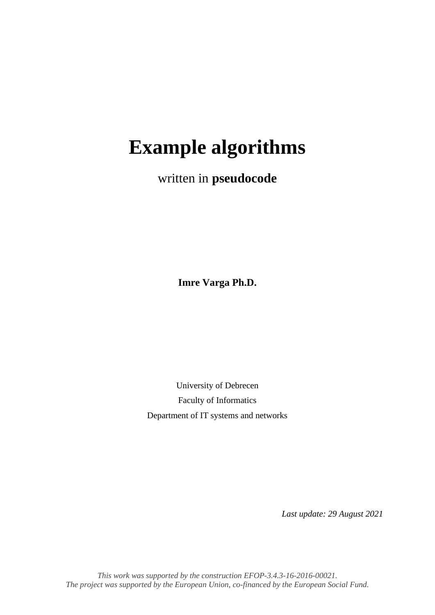# **Example algorithms**

written in **pseudocode**

**Imre Varga Ph.D.**

University of Debrecen Faculty of Informatics Department of IT systems and networks

*Last update: 29 August 2021*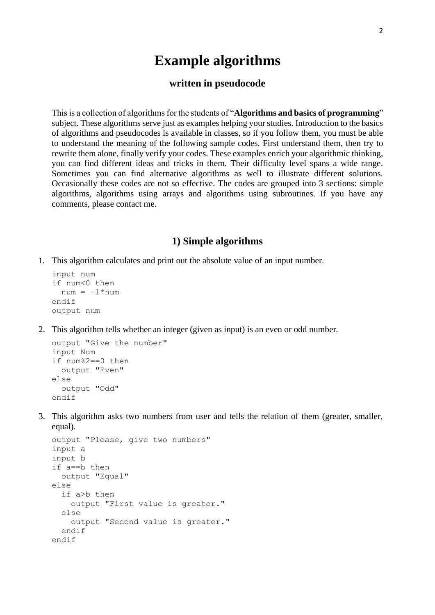# **Example algorithms**

#### **written in pseudocode**

This is a collection of algorithms for the students of "**Algorithms and basics of programming**" subject. These algorithms serve just as examples helping your studies. Introduction to the basics of algorithms and pseudocodes is available in classes, so if you follow them, you must be able to understand the meaning of the following sample codes. First understand them, then try to rewrite them alone, finally verify your codes. These examples enrich your algorithmic thinking, you can find different ideas and tricks in them. Their difficulty level spans a wide range. Sometimes you can find alternative algorithms as well to illustrate different solutions. Occasionally these codes are not so effective. The codes are grouped into 3 sections: simple algorithms, algorithms using arrays and algorithms using subroutines. If you have any comments, please contact me.

#### **1) Simple algorithms**

1. This algorithm calculates and print out the absolute value of an input number.

```
input num
if num<0 then
 num = -1*numendif
output num
```
2. This algorithm tells whether an integer (given as input) is an even or odd number.

```
output "Give the number"
input Num
if num%2==0 then
   output "Even"
else
   output "Odd"
endif
```
3. This algorithm asks two numbers from user and tells the relation of them (greater, smaller, equal).

```
output "Please, give two numbers"
input a
input b
if a==b then
   output "Equal"
else
   if a>b then
     output "First value is greater."
   else
     output "Second value is greater."
   endif
endif
```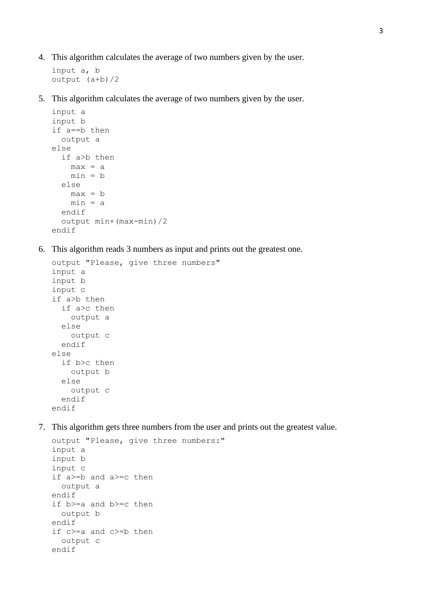4. This algorithm calculates the average of two numbers given by the user.

```
input a, b
output (a+b)/2
```
5. This algorithm calculates the average of two numbers given by the user.

```
input a
input b
if a==b then
  output a
else
   if a>b then
   max = amin = b else
    max = b min = a
   endif
   output min+(max-min)/2
endif
```
6. This algorithm reads 3 numbers as input and prints out the greatest one.

```
output "Please, give three numbers"
input a
input b
input c
if a>b then
   if a>c then
     output a
   else
     output c
   endif
else
   if b>c then
     output b
   else
     output c
   endif
endif
```
7. This algorithm gets three numbers from the user and prints out the greatest value.

```
output "Please, give three numbers:"
input a
input b
input c
if a>=b and a>=c then
  output a
endif
if b>=a and b>=c then
   output b
endif
if c>=a and c>=b then
  output c
endif
```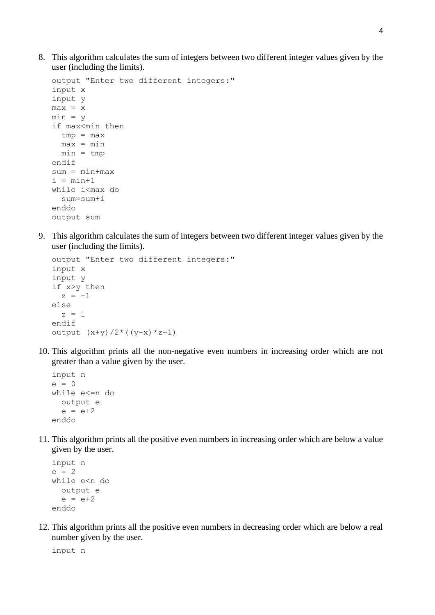8. This algorithm calculates the sum of integers between two different integer values given by the user (including the limits).

```
output "Enter two different integers:"
input x
input y
max = xmin = yif max<min then
  tmp = maxmax = min min = tmp
endif
sum = min+max
i = min+1while i<max do
  sum=sum+i
enddo
output sum
```
9. This algorithm calculates the sum of integers between two different integer values given by the user (including the limits).

```
output "Enter two different integers:"
input x
input y
if x>y then
  z = -1else
  z = 1endif
output (x+y)/2*(y-x)*z+1
```
10. This algorithm prints all the non-negative even numbers in increasing order which are not greater than a value given by the user.

```
input n
e = 0while e<=n do
   output e
  e = e + 2enddo
```
11. This algorithm prints all the positive even numbers in increasing order which are below a value given by the user.

```
input n
e = 2while e<n do
   output e
  e = e + 2enddo
```
12. This algorithm prints all the positive even numbers in decreasing order which are below a real number given by the user.

input n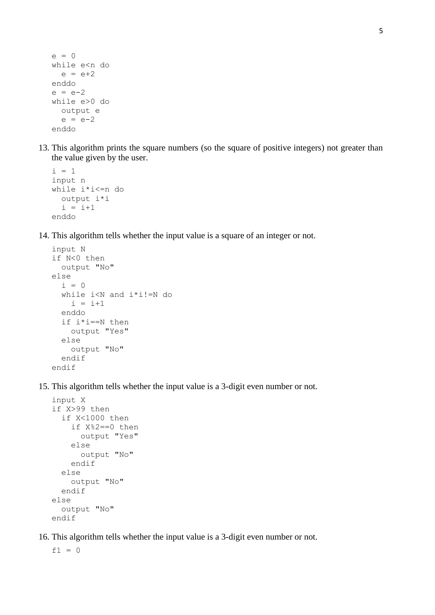```
e = 0while e<n do
 e = e + 2enddo
e = e - 2while e>0 do
   output e
  e = e - 2enddo
```
13. This algorithm prints the square numbers (so the square of positive integers) not greater than the value given by the user.

```
i = 1input n
while i*i<=n do
   output i*i
  i = i+1enddo
```
14. This algorithm tells whether the input value is a square of an integer or not.

```
input N
if N<0 then
   output "No"
else
  i = 0 while i<N and i*i!=N do
    i = i+1 enddo
   if i*i==N then
     output "Yes"
   else
     output "No"
   endif
endif
```
15. This algorithm tells whether the input value is a 3-digit even number or not.

```
input X
if X>99 then
   if X<1000 then
     if X%2==0 then
       output "Yes"
     else
       output "No"
     endif
   else
     output "No"
   endif
else
   output "No"
endif
```
16. This algorithm tells whether the input value is a 3-digit even number or not.

 $f1 = 0$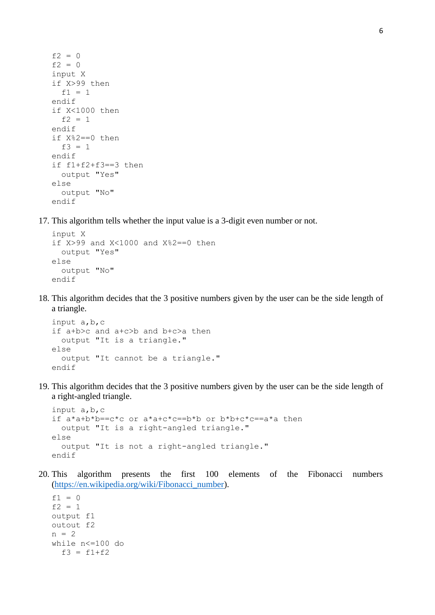```
f2 = 0f2 = 0input X
if X>99 then
 f1 = 1endif
if X<1000 then
  f2 = 1endif
if X%2==0 then
 f3 = 1endif
if f1+f2+f3==3 then
  output "Yes"
else
   output "No"
endif
```
17. This algorithm tells whether the input value is a 3-digit even number or not.

```
input X
if X>99 and X<1000 and X%2==0 then
   output "Yes"
else
   output "No"
endif
```
18. This algorithm decides that the 3 positive numbers given by the user can be the side length of a triangle.

```
input a,b,c
if a+b>c and a+c>b and b+c>a then
   output "It is a triangle."
else
   output "It cannot be a triangle."
endif
```
19. This algorithm decides that the 3 positive numbers given by the user can be the side length of a right-angled triangle.

```
input a,b,c
if a*a+b*b==c*c or a*a+c*c==b*b or b*b+c*c==a*a then
   output "It is a right-angled triangle."
else
   output "It is not a right-angled triangle."
endif
```
20. This algorithm presents the first 100 elements of the Fibonacci numbers [\(https://en.wikipedia.org/wiki/Fibonacci\\_number\)](https://en.wikipedia.org/wiki/Fibonacci_number).

 $f1 = 0$  $f2 = 1$ output f1 outout f2  $n = 2$ while n<=100 do  $f3 = f1+f2$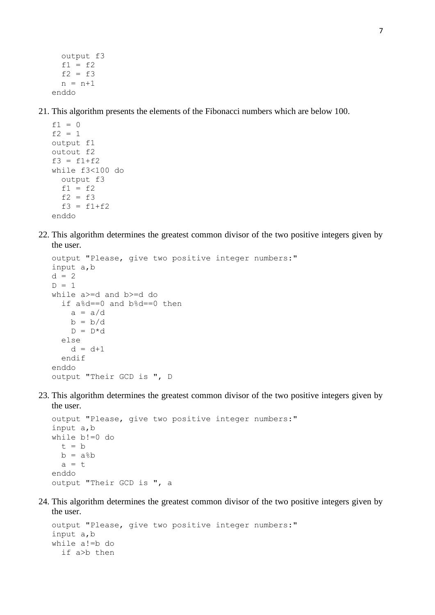output f3  $f1 = f2$  $f2 = f3$  $n = n+1$ enddo

21. This algorithm presents the elements of the Fibonacci numbers which are below 100.

```
f1 = 0f2 = 1output f1
outout f2
f3 = f1+f2
while f3<100 do
   output f3
 f1 = f2f2 = f3f3 = f1+f2enddo
```
22. This algorithm determines the greatest common divisor of the two positive integers given by the user.

```
output "Please, give two positive integer numbers:"
input a,b
d = 2D = 1while a>=d and b>=d do
   if a%d==0 and b%d==0 then
    a = a/db = b/dD = D * d else
    d = d + 1 endif
enddo
output "Their GCD is ", D
```
23. This algorithm determines the greatest common divisor of the two positive integers given by the user.

```
output "Please, give two positive integer numbers:"
input a,b
while b!=0 do
  t = bb = a%
  a = tenddo
output "Their GCD is ", a
```
24. This algorithm determines the greatest common divisor of the two positive integers given by the user.

```
output "Please, give two positive integer numbers:"
input a,b
while a!=b do
   if a>b then
```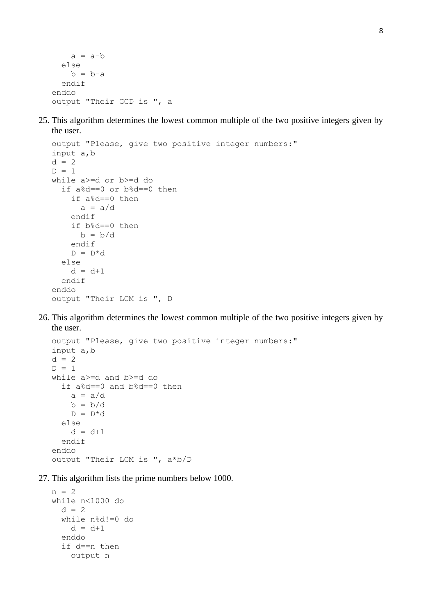```
a = a-b else
   b = b-a endif
enddo
output "Their GCD is ", a
```
25. This algorithm determines the lowest common multiple of the two positive integers given by the user.

```
output "Please, give two positive integer numbers:"
input a,b
d = 2D = 1while a>=d or b>=d do
   if a%d==0 or b%d==0 then
     if a%d==0 then
      a = a/d endif
     if b%d==0 then
     b = b/d endif
    D = D * d else
    d = d + 1 endif
enddo
output "Their LCM is ", D
```
26. This algorithm determines the lowest common multiple of the two positive integers given by the user.

```
output "Please, give two positive integer numbers:"
input a,b
d = 2D = 1while a>=d and b>=d do
   if a%d==0 and b%d==0 then
    a = a/db = b/dD = D * d else
    d = d + 1 endif
enddo
output "Their LCM is ", a*b/D
```
27. This algorithm lists the prime numbers below 1000.

```
n = 2while n<1000 do
  d = 2 while n%d!=0 do
    d = d + 1 enddo
   if d==n then
     output n
```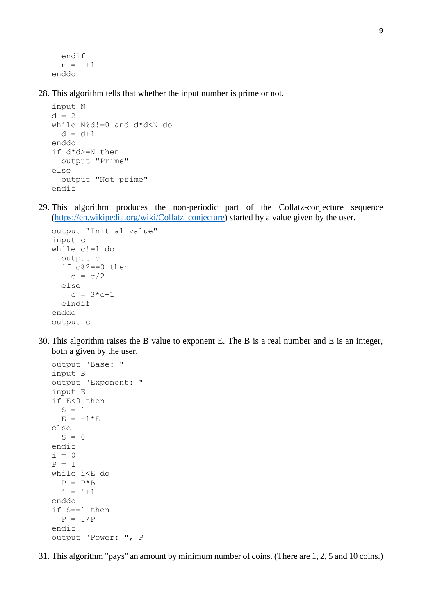```
 endif
  n = n+1enddo
```
28. This algorithm tells that whether the input number is prime or not.

```
input N
d = 2while N%d!=0 and d*d<N do
  d = d + 1enddo
if d*d>=N then
   output "Prime"
else
   output "Not prime"
endif
```
29. This algorithm produces the non-periodic part of the Collatz-conjecture sequence [\(https://en.wikipedia.org/wiki/Collatz\\_conjecture\)](https://en.wikipedia.org/wiki/Collatz_conjecture) started by a value given by the user.

```
output "Initial value"
input c
while c!=1 do
   output c
   if c%2==0 then
    c = c/2 else
    c = 3 \cdot c + 1 elndif
enddo
output c
```
30. This algorithm raises the B value to exponent E. The B is a real number and E is an integer, both a given by the user.

```
output "Base: "
input B
output "Exponent: "
input E
if E<0 then
  S = 1E = -1*Eelse
  S = 0endif
i = 0P = 1while i<E do
 P = P * Bi = i+1enddo
if S==1 then
  P = 1/Pendif
output "Power: ", P
```
31. This algorithm "pays" an amount by minimum number of coins. (There are 1, 2, 5 and 10 coins.)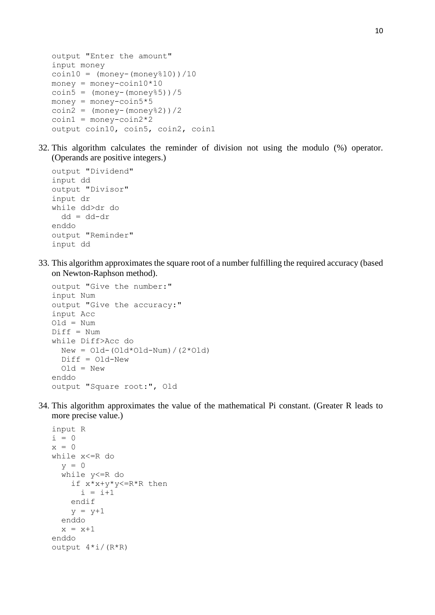```
output "Enter the amount"
input money
coin10 = (money - (money * 10)) / 10money = money-coin10*10coin5 = (money-(money%5))/5
money = money\text{-}coin5*5coin2 = (money-(money%2))/2coin1 = money-coin2*2output coin10, coin5, coin2, coin1
```
32. This algorithm calculates the reminder of division not using the modulo (%) operator. (Operands are positive integers.)

```
output "Dividend"
input dd
output "Divisor"
input dr
while dd>dr do
   dd = dd-dr
enddo
output "Reminder"
input dd
```
33. This algorithm approximates the square root of a number fulfilling the required accuracy (based on Newton-Raphson method).

```
output "Give the number:"
input Num
output "Give the accuracy:"
input Acc 
Old = Num
Diff = Numwhile Diff>Acc do
  New = Old-(Old*Old-Num) / (2*Old) Diff = Old-New
   Old = New
enddo
output "Square root:", Old
```
34. This algorithm approximates the value of the mathematical Pi constant. (Greater R leads to more precise value.)

```
input R
i = 0x = 0while x<=R do
  v = 0 while y<=R do
     if x*x+y*y<=R*R then
      i = i+1 endif
    y = y+1 enddo
  x = x+1enddo
output 4 * i / (R * R)
```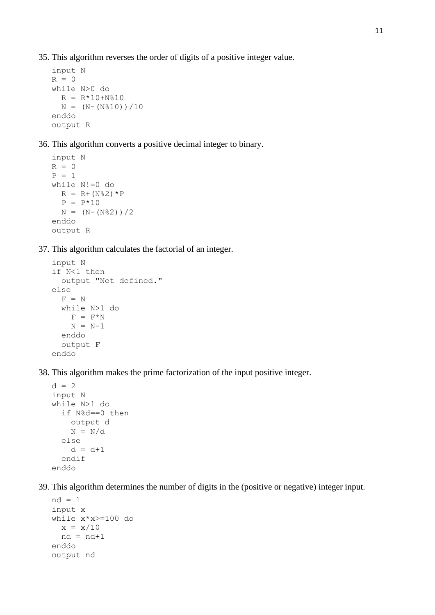35. This algorithm reverses the order of digits of a positive integer value.

```
input N
R = 0while N>0 do
  R = R*10+N*10N = (N - (N \& 10)) / 10enddo
output R
```
36. This algorithm converts a positive decimal integer to binary.

```
input N
R = 0P = 1while N!=0 do
  R = R + (N\frac{8}{3}2) * PP = P*10N = (N - (N<sup>8</sup>2)) / 2
enddo
output R
```
37. This algorithm calculates the factorial of an integer.

```
input N
if N<1 then
   output "Not defined."
else
  F = N while N>1 do
   F = F^*NN = N-1 enddo
   output F
enddo
```
38. This algorithm makes the prime factorization of the input positive integer.

```
d = 2input N
while N>1 do
   if N%d==0 then
     output d
    N = N/d else
    d = d + 1 endif
enddo
```
39. This algorithm determines the number of digits in the (positive or negative) integer input.

```
nd = 1input x
while x*x>=100 do
  x = x/10nd = nd+1enddo
output nd
```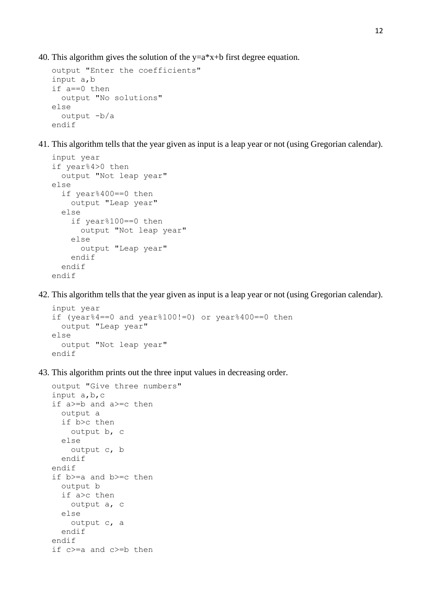40. This algorithm gives the solution of the  $y=a*x+b$  first degree equation.

```
output "Enter the coefficients"
input a,b
if a==0 then
   output "No solutions"
else
  output -b/a
endif
```
41. This algorithm tells that the year given as input is a leap year or not (using Gregorian calendar).

```
input year
if year%4>0 then
   output "Not leap year"
else
   if year%400==0 then
     output "Leap year"
   else
     if year%100==0 then
       output "Not leap year"
     else
       output "Leap year"
     endif
   endif
endif
```
42. This algorithm tells that the year given as input is a leap year or not (using Gregorian calendar).

```
input year
if (year%4==0 and year%100!=0) or year%400==0 then
   output "Leap year"
else
   output "Not leap year"
endif
```
43. This algorithm prints out the three input values in decreasing order.

```
output "Give three numbers" 
input a,b,c
if a>=b and a>=c then
   output a
   if b>c then
     output b, c
   else
     output c, b
   endif
endif
if b>=a and b>=c then
   output b
   if a>c then
     output a, c
   else
    output c, a
   endif
endif
if c>=a and c>=b then
```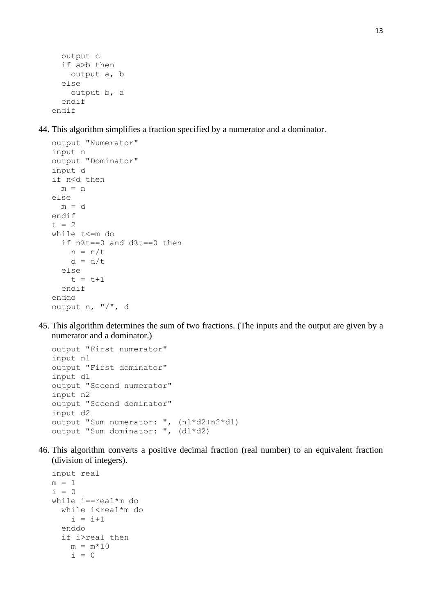```
 output c
   if a>b then
     output a, b
   else
     output b, a
   endif
endif
```
44. This algorithm simplifies a fraction specified by a numerator and a dominator.

```
output "Numerator"
input n
output "Dominator"
input d
if n<d then
 m = nelse
 m = dendif
t = 2while t<=m do
   if n%t==0 and d%t==0 then
   n = n/td = d/t else
    t = t + 1 endif
enddo
output n, "/", d
```
45. This algorithm determines the sum of two fractions. (The inputs and the output are given by a numerator and a dominator.)

```
output "First numerator"
input n1
output "First dominator"
input d1
output "Second numerator"
input n2
output "Second dominator"
input d2
output "Sum numerator: ", (n1*d2+n2*d1)
output "Sum dominator: ", (d1*d2)
```
46. This algorithm converts a positive decimal fraction (real number) to an equivalent fraction (division of integers).

```
input real
m = 1i = 0while i==real*m do
  while i<real*m do
    i = i+1 enddo
   if i>real then
   m = m*10i = 0
```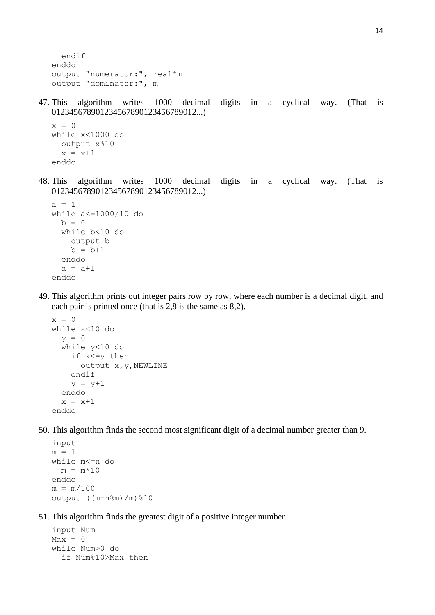```
 endif
enddo
output "numerator:", real*m
output "dominator:", m
```
47. This algorithm writes 1000 decimal digits in a cyclical way. (That is 012345678901234567890123456789012...)

```
x = 0while x<1000 do
   output x%10
  x = x+1enddo
```
48. This algorithm writes 1000 decimal digits in a cyclical way. (That is 012345678901234567890123456789012...)

```
a = 1while a<=1000/10 do
 b = 0 while b<10 do 
     output b
    b = b + 1 enddo
  a = a + 1enddo
```
49. This algorithm prints out integer pairs row by row, where each number is a decimal digit, and each pair is printed once (that is 2,8 is the same as 8,2).

```
x = 0while x<10 do
  y = 0 while y<10 do
     if x<=y then
       output x,y,NEWLINE
     endif
    y = y+1 enddo
  x = x+1enddo
```
50. This algorithm finds the second most significant digit of a decimal number greater than 9.

```
input n
m = 1while m<=n do
 m = m*10enddo
m = m/100output ((m-n%m)/m)%10
```
51. This algorithm finds the greatest digit of a positive integer number.

```
input Num
Max = 0while Num>0 do
   if Num%10>Max then
```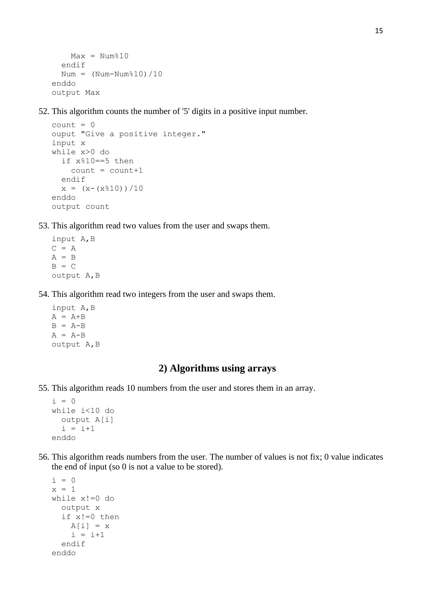```
Max = Num<sup>810</sup> endif
  Num = (Num-Num<sup>2</sup>10)/10enddo
output Max
```
52. This algorithm counts the number of '5' digits in a positive input number.

```
count = 0ouput "Give a positive integer."
input x
while x>0 do
   if x%10==5 then
    count = count + 1 endif
  x = (x-(x<sup>8</sup>10))(10)enddo
output count
```
- 53. This algorithm read two values from the user and swaps them.
	- input A,B  $C = A$  $A = B$  $B = C$ output A,B
- 54. This algorithm read two integers from the user and swaps them.
	- input A,B  $A = A+B$  $B = A-B$  $A = A-B$ output A,B

#### **2) Algorithms using arrays**

55. This algorithm reads 10 numbers from the user and stores them in an array.

```
i = 0while i<10 do
  output A[i]
 i = i+1enddo
```
56. This algorithm reads numbers from the user. The number of values is not fix; 0 value indicates the end of input (so 0 is not a value to be stored).

```
i = 0x = 1while x!=0 do
   output x
   if x!=0 then
   A[i] = xi = i+1 endif
enddo
```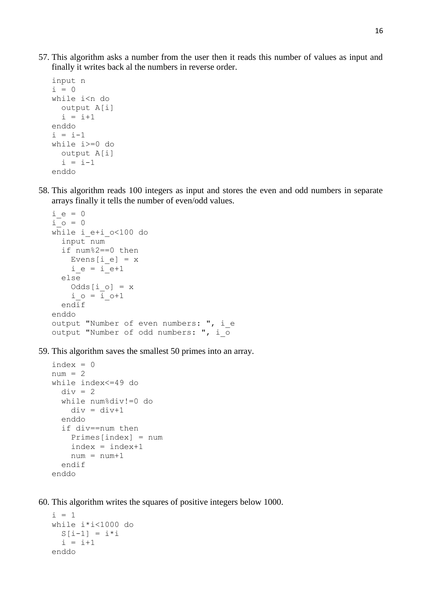57. This algorithm asks a number from the user then it reads this number of values as input and finally it writes back al the numbers in reverse order.

```
input n
i = 0while i<n do
  output A[i]
  i = i+1enddo
i = i-1while i>=0 do
  output A[i]
  i = i-1enddo
```
58. This algorithm reads 100 integers as input and stores the even and odd numbers in separate arrays finally it tells the number of even/odd values.

```
i e = 0
i o = 0
while i_e+i_o<100 do
   input num
   if num%2==0 then
    Evens[i_e] = xi_e = i_e+1 else
    Odds[i \ o] = xi o = i o+1
   endif
enddo
output "Number of even numbers: ", i e
output "Number of odd numbers: ", i_o
```
59. This algorithm saves the smallest 50 primes into an array.

```
index = 0num = 2while index<=49 do
  div = 2 while num%div!=0 do
    div = div + 1 enddo
   if div==num then
     Primes[index] = num
    index = index + 1num = num+1 endif
enddo
```
60. This algorithm writes the squares of positive integers below 1000.

```
i = 1while i*i<1000 do
 S[i-1] = i * ii = i+1enddo
```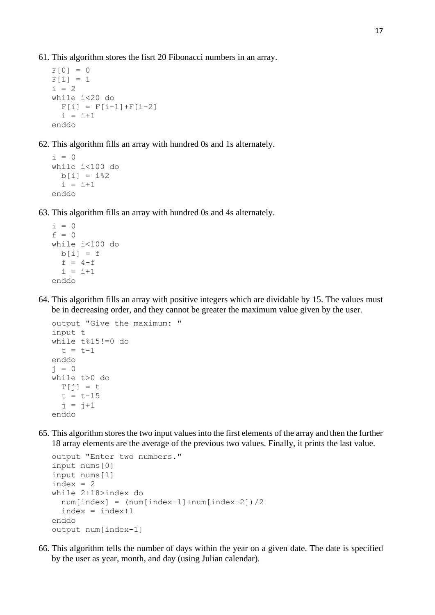61. This algorithm stores the fisrt 20 Fibonacci numbers in an array.

```
F[0] = 0F[1] = 1i = 2while i<20 do
  F[i] = F[i-1]+F[i-2]i = i+1enddo
```
62. This algorithm fills an array with hundred 0s and 1s alternately.

```
i = 0while i<100 do
 b[i] = i \, 2i = i+1enddo
```
63. This algorithm fills an array with hundred 0s and 4s alternately.

```
i = 0f = 0while i<100 do
 b[i] = ff = 4-fi = i+1enddo
```
64. This algorithm fills an array with positive integers which are dividable by 15. The values must be in decreasing order, and they cannot be greater the maximum value given by the user.

```
output "Give the maximum: "
input t
while t%15!=0 do
  t = t-1enddo
j = 0while t>0 do
  T[j] = tt = t - 15j = j+1enddo
```
65. This algorithm stores the two input values into the first elements of the array and then the further 18 array elements are the average of the previous two values. Finally, it prints the last value.

```
output "Enter two numbers."
input nums[0]
input nums[1]
index = 2while 2+18>index do
  num[index] = (num[index-1]+num[index-2])/2index = index + 1enddo
output num[index-1]
```
66. This algorithm tells the number of days within the year on a given date. The date is specified by the user as year, month, and day (using Julian calendar).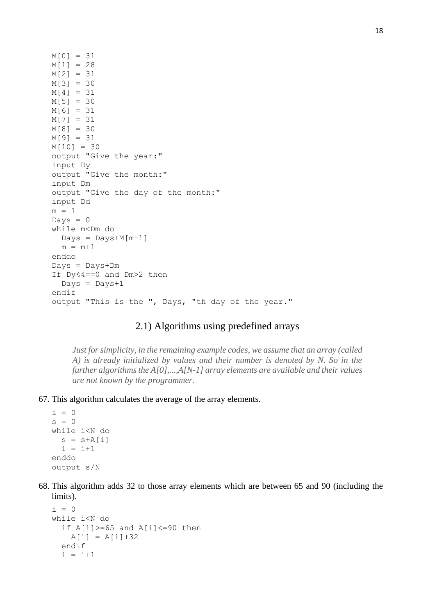```
M[0] = 31 
M[1] = 28M[2] = 31 
M[3] = 30 
M[4] = 31M[5] = 30M[6] = 31M[7] = 31 
M[8] = 30M[9] = 31 
M[10] = 30output "Give the year:"
input Dy
output "Give the month:"
input Dm
output "Give the day of the month:"
input Dd
m = 1DayS = 0while m<Dm do
 Days = Days + M[m-1]m = m+1enddo
Days = Days+Dm
If Dy%4==0 and Dm>2 then
  Days = Days+1endif
output "This is the ", Days, "th day of the year."
```
## 2.1) Algorithms using predefined arrays

*Just for simplicity, in the remaining example codes, we assume that an array (called A) is already initialized by values and their number is denoted by N. So in the further algorithms the A[0],...,A[N-1] array elements are available and their values are not known by the programmer.*

67. This algorithm calculates the average of the array elements.

```
i = 0s = 0while i<N do 
  s = s+A[i]i = i+1enddo
output s/N
```
68. This algorithm adds 32 to those array elements which are between 65 and 90 (including the limits).

```
i = 0while i<N do
  if A[i] >= 65 and A[i] <= 90 then
    A[i] = A[i]+32 endif
  i = i+1
```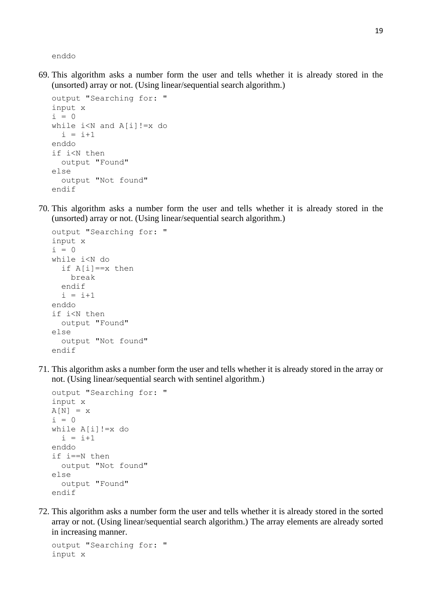enddo

69. This algorithm asks a number form the user and tells whether it is already stored in the (unsorted) array or not. (Using linear/sequential search algorithm.)

```
output "Searching for: "
input x
i = 0while i<N and A[i]!=x do
  i = i+1enddo
if i<N then
   output "Found"
else
   output "Not found"
endif
```
70. This algorithm asks a number form the user and tells whether it is already stored in the (unsorted) array or not. (Using linear/sequential search algorithm.)

```
output "Searching for: "
input x
i = 0while i<N do
   if A[i]==x then
     break
   endif
  i = i+1enddo
if i<N then
   output "Found"
else
   output "Not found"
endif
```
71. This algorithm asks a number form the user and tells whether it is already stored in the array or not. (Using linear/sequential search with sentinel algorithm.)

```
output "Searching for: "
input x
A[N] = xi = 0while A[i]!=x do
  i = i+1enddo
if i==N then
   output "Not found"
else
   output "Found"
endif
```
72. This algorithm asks a number form the user and tells whether it is already stored in the sorted array or not. (Using linear/sequential search algorithm.) The array elements are already sorted in increasing manner.

```
output "Searching for: "
input x
```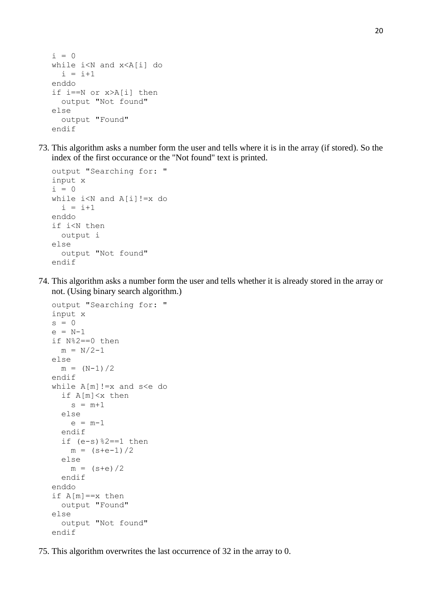```
i = 0while i<N and x<A[i] do
  i = i+1enddo
if i==N or x>A[i] then
   output "Not found"
else
   output "Found"
endif
```
73. This algorithm asks a number form the user and tells where it is in the array (if stored). So the index of the first occurance or the "Not found" text is printed.

```
output "Searching for: "
input x
i = 0while i<N and A[i]!=x do
  i = i+1enddo
if i<N then
  output i
else
   output "Not found"
endif
```
74. This algorithm asks a number form the user and tells whether it is already stored in the array or not. (Using binary search algorithm.)

```
output "Searching for: "
input x
s = 0e = N-1if N%2==0 then
 m = N/2-1else
  m = (N-1)/2endif
while A[m]!=x and s<e do
   if A[m]<x then
    s = m+1 else
    e = m-1 endif
  if (e-s) 2=-1 then
   m = (s+e-1)/2 else 
   m = (s+e)/2 endif
enddo
if A[m] == x then
   output "Found"
else
   output "Not found"
endif
```
75. This algorithm overwrites the last occurrence of 32 in the array to 0.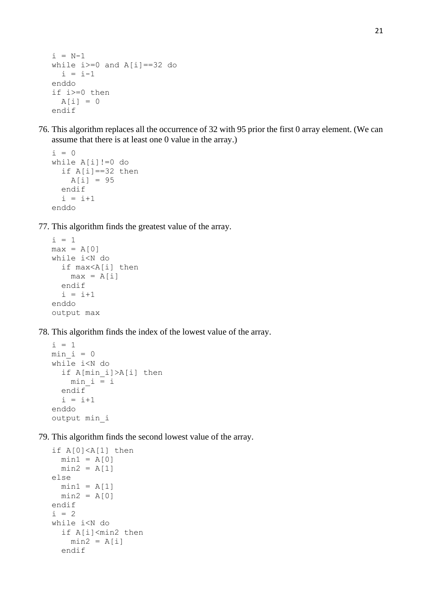```
i = N-1while i>=0 and A[i]=-32 do
  i = i-1enddo
if i>=0 then
  A[i] = 0endif
```
76. This algorithm replaces all the occurrence of 32 with 95 prior the first 0 array element. (We can assume that there is at least one 0 value in the array.)

```
i = 0while A[i]' = 0 do
   if A[i]==32 then
    A[i] = 95 endif
  i = i+1enddo
```
77. This algorithm finds the greatest value of the array.

```
i = 1max = A[0]while i<N do
   if max<A[i] then
   max = A[i] endif
  i = i+1enddo
output max
```
78. This algorithm finds the index of the lowest value of the array.

```
i = 1min i = 0while i<N do
   if A[min_i]>A[i] then
   min i = i endif
  i = i+1enddo
output min_i
```
79. This algorithm finds the second lowest value of the array.

```
if A[0]<A[1] then
 min1 = A[0]min2 = A[1]else
 min1 = A[1]min2 = A[0]endif
i = 2while i<N do
   if A[i]<min2 then
   min2 = A[i] endif
```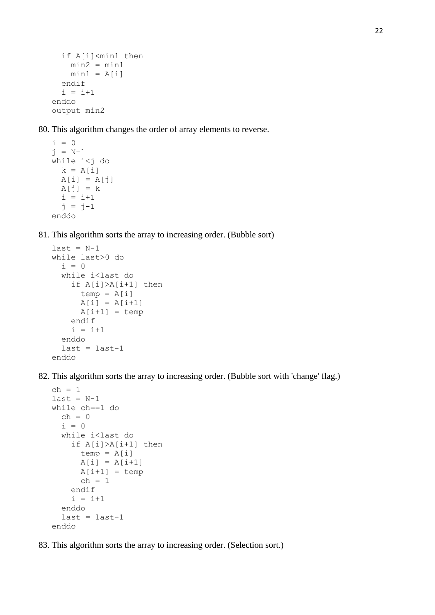```
 if A[i]<min1 then
   min2 = min1min1 = A[i] endif
  i = i+1enddo
output min2
```
80. This algorithm changes the order of array elements to reverse.

```
i = 0j = N-1while i < j do
 k = A[i]A[i] = A[j]A[j] = ki = i+1j = j-1enddo
```
81. This algorithm sorts the array to increasing order. (Bubble sort)

```
last = N-1while last>0 do
  i = 0 while i<last do
     if A[i]>A[i+1] then
      temp = A[i]A[i] = A[i+1]A[i+1] = temp
     endif
    i = i+1 enddo
  last = last-1enddo
```
82. This algorithm sorts the array to increasing order. (Bubble sort with 'change' flag.)

```
ch = 1last = N-1while ch==1 do
  ch = 0i = 0 while i<last do
     if A[i]>A[i+1] then
      temp = A[i]A[i] = A[i+1]A[i+1] = temp
      ch = 1 endif
    i = i+1 enddo
  last = last-1enddo
```
83. This algorithm sorts the array to increasing order. (Selection sort.)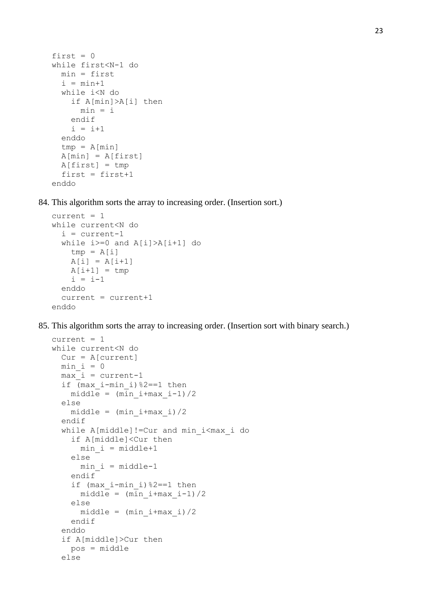```
first = 0while first<N-1 do
   min = first
  i = min+1 while i<N do
     if A[min]>A[i] then
      min = i endif
    i = i+1 enddo
  tmp = A[\min]A[\text{min}] = A[\text{first}]A[first] = tmpfirst = first + 1enddo
```
84. This algorithm sorts the array to increasing order. (Insertion sort.)

```
current = 1while current<N do
  i = current-1 while i>=0 and A[i]>A[i+1] do
   tmp = A[i]A[i] = A[i+1]A[i+1] = tmpi = i-1 enddo
   current = current+1
enddo
```
85. This algorithm sorts the array to increasing order. (Insertion sort with binary search.)

```
current = 1while current<N do
  Cur = A[current]min i = 0max<sup>i</sup> = current-1
   if (max_i-min_i)%2==1 then 
    middle = (min i + max i-1)/2 else 
    middle = (min i + max i)/2 endif
   while A[middle]!=Cur and min_i<max_i do
     if A[middle]<Cur then
      min i = middle+1 else
      min i = middle-1 endif
     if (max_i-min_i)%2==1 then 
      middle = (min i+max i-1)/2
     else 
      middle = (min i+max i)/2 endif
   enddo
   if A[middle]>Cur then
     pos = middle
   else
```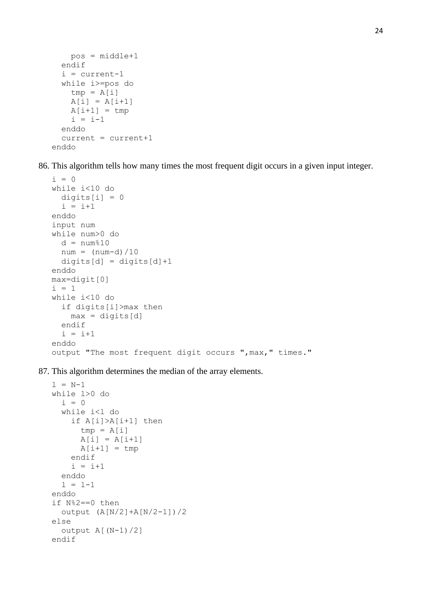```
 pos = middle+1
   endif
   i = current-1
   while i>=pos do
    tmp = A[i]A[i] = A[i+1]A[i+1] = \text{tmp}i = i-1 enddo
   current = current+1
enddo
```
86. This algorithm tells how many times the most frequent digit occurs in a given input integer.

```
i = 0while i<10 do
  digits[i] = 0i = i+1enddo
input num 
while num>0 do
 d = num%10
 num = (num-d)/10digits[d] = digits[d]+1enddo
max=digit[0]
i = 1while i<10 do
   if digits[i]>max then
    max = digits[d] endif
  i = i+1enddo
output "The most frequent digit occurs ",max," times."
```
87. This algorithm determines the median of the array elements.

```
l = N-1while l>0 do
  i = 0 while i<l do
     if A[i]>A[i+1] then
      tmp = A[i]A[i] = A[i+1]A[i+1] = tmp endif
    i = i+1 enddo
  1 = 1-1enddo
if N%2==0 then
   output (A[N/2]+A[N/2-1])/2
else
   output A[(N-1)/2]
endif
```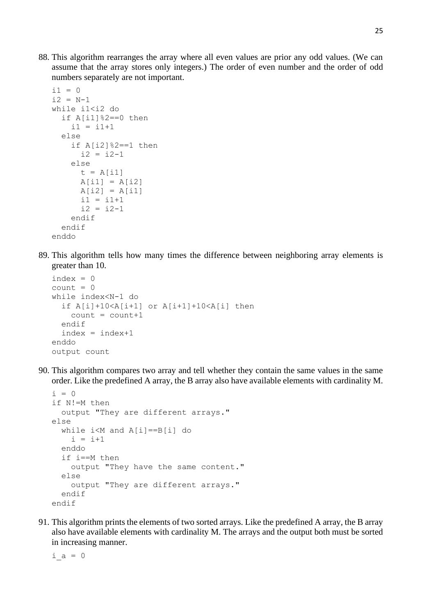88. This algorithm rearranges the array where all even values are prior any odd values. (We can assume that the array stores only integers.) The order of even number and the order of odd numbers separately are not important.

```
i1 = 0i2 = N-1while i1<i2 do
  if A[i1] 2 == 0 then
    i1 = i1+1 else
    if A[i2] 82 == 1 then
      i2 = i2 - 1 else
      t = A[i1]A[i1] = A[i2]A[i2] = A[i1]i1 = i1+1i2 = i2-1 endif
   endif
enddo
```
89. This algorithm tells how many times the difference between neighboring array elements is greater than 10.

```
index = 0count = 0while index<N-1 do
   if A[i]+10<A[i+1] or A[i+1]+10<A[i] then
    count = count + 1 endif
  index = index + 1enddo
output count
```
90. This algorithm compares two array and tell whether they contain the same values in the same order. Like the predefined A array, the B array also have available elements with cardinality M.

```
i = 0if N!=M then
   output "They are different arrays."
else
   while i<M and A[i]==B[i] do
    i = i+1 enddo
   if i==M then 
     output "They have the same content."
   else
     output "They are different arrays."
   endif
endif
```
91. This algorithm prints the elements of two sorted arrays. Like the predefined A array, the B array also have available elements with cardinality M. The arrays and the output both must be sorted in increasing manner.

 $i$  a = 0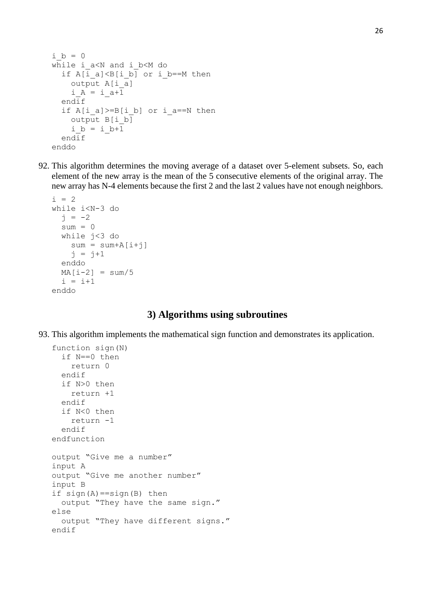```
i b = 0
while i a<N and i b<M do
  if A[i_a] < B[i_b] or i b==M then
     output A[i_a]
    i_A = i_{a+1} endif
  if A[i_a]>=B[i_b] or i a==N then
    output B[i b]
    i b = i b+1
   endif
enddo
```
92. This algorithm determines the moving average of a dataset over 5-element subsets. So, each element of the new array is the mean of the 5 consecutive elements of the original array. The new array has N-4 elements because the first 2 and the last 2 values have not enough neighbors.

```
i = 2while i<N-3 do
  j = -2sum = 0 while j<3 do
    sum = sum+A[i+j]j = j+1 enddo
 MA[i-2] = sum/5i = i+1enddo
```
### **3) Algorithms using subroutines**

93. This algorithm implements the mathematical sign function and demonstrates its application.

```
function sign(N)
   if N==0 then
     return 0
   endif
   if N>0 then
     return +1
   endif
   if N<0 then
     return -1
   endif
endfunction
output "Give me a number"
input A
output "Give me another number"
input B
if sign(A) == sign(B) then
   output "They have the same sign."
else
   output "They have different signs."
endif
```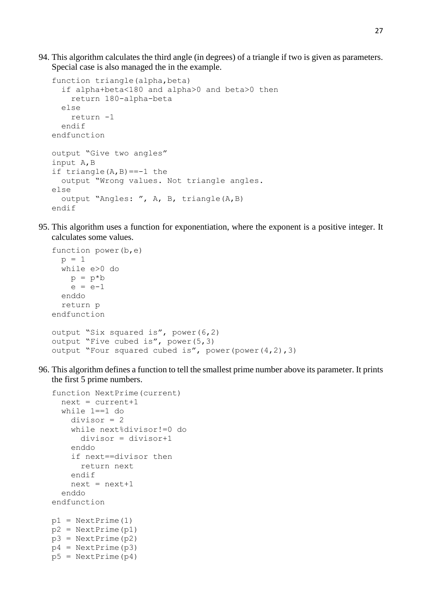94. This algorithm calculates the third angle (in degrees) of a triangle if two is given as parameters. Special case is also managed the in the example.

```
function triangle(alpha, beta)
   if alpha+beta<180 and alpha>0 and beta>0 then
     return 180-alpha-beta
   else
     return -1
   endif
endfunction
output "Give two angles"
input A,B
if triangle(A, B) == -1 the
   output "Wrong values. Not triangle angles.
else
   output "Angles: ", A, B, triangle(A,B)
endif
```
95. This algorithm uses a function for exponentiation, where the exponent is a positive integer. It calculates some values.

```
function power(b,e)
  p = 1 while e>0 do
   p = p * be = e-1 enddo
   return p
endfunction
output "Six squared is", power(6,2)
output "Five cubed is", power(5,3)
output "Four squared cubed is", power(power(4,2),3)
```
96. This algorithm defines a function to tell the smallest prime number above its parameter. It prints the first 5 prime numbers.

```
function NextPrime(current)
  next = current + 1 while 1==1 do
     divisor = 2
     while next%divisor!=0 do
       divisor = divisor+1
     enddo
     if next==divisor then
       return next
     endif
    next = next +1 enddo
endfunction
p1 = NextPrime(1)p2 = NextPrime(p1)
p3 = NextPrime(p2)p4 = NextPrime(p3)p5 = NextPrime(p4)
```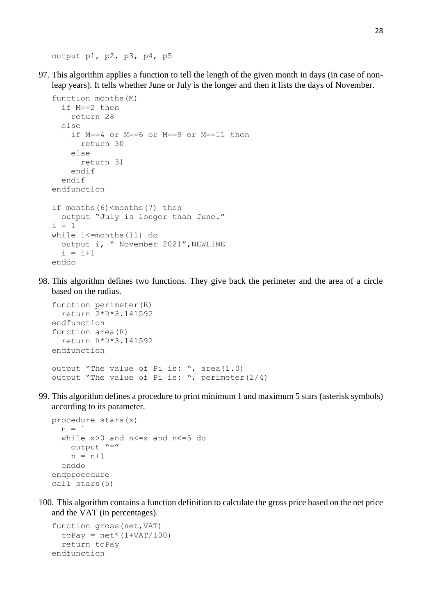output p1, p2, p3, p4, p5

97. This algorithm applies a function to tell the length of the given month in days (in case of nonleap years). It tells whether June or July is the longer and then it lists the days of November.

```
function months(M)
   if M==2 then
     return 28
   else
     if M==4 or M==6 or M==9 or M==11 then
       return 30
     else
       return 31
     endif
   endif
endfunction
if months(6)<months(7) then
   output "July is longer than June."
i = 1while i<=months(11) do
  output i, " November 2021", NEWLINE
  i = i+1enddo
```
98. This algorithm defines two functions. They give back the perimeter and the area of a circle based on the radius.

```
function perimeter(R)
   return 2*R*3.141592
endfunction
function area(R)
   return R*R*3.141592
endfunction
output "The value of Pi is: ", area(1.0)
output "The value of Pi is: ", perimeter(2/4)
```
99. This algorithm defines a procedure to print minimum 1 and maximum 5 stars (asterisk symbols) according to its parameter.

```
procedure stars(x)
  n = 1 while x>0 and n<=x and n<=5 do
     output "*"
    n = n+1 enddo
endprocedure
call stars(5)
```
100. This algorithm contains a function definition to calculate the gross price based on the net price and the VAT (in percentages).

```
function gross(net,VAT)
  toPay = net * (1+VAT/100) return toPay
endfunction
```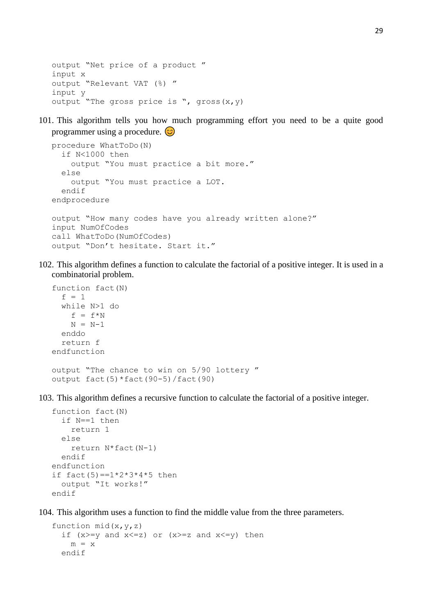```
output "Net price of a product "
input x
output "Relevant VAT (%) "
input y
output "The gross price is ", gross (x, y)
```
101. This algorithm tells you how much programming effort you need to be a quite good programmer using a procedure.  $\circledcirc$ 

```
procedure WhatToDo(N)
   if N<1000 then
     output "You must practice a bit more."
   else
     output "You must practice a LOT.
   endif
endprocedure
output "How many codes have you already written alone?"
input NumOfCodes
call WhatToDo(NumOfCodes)
output "Don't hesitate. Start it."
```
102. This algorithm defines a function to calculate the factorial of a positive integer. It is used in a combinatorial problem.

```
function fact(N)
  f = 1 while N>1 do
   f = f^*NN = N-1 enddo
   return f
endfunction
output "The chance to win on 5/90 lottery "
output fact(5)*fact(90-5)/fact(90)
```
103. This algorithm defines a recursive function to calculate the factorial of a positive integer.

```
function fact(N)
   if N==1 then
     return 1
   else
     return N*fact(N-1)
   endif
endfunction
if fact(5) == 1 * 2 * 3 * 4 * 5 then output "It works!"
endif
```
104. This algorithm uses a function to find the middle value from the three parameters.

```
function mid(x,y,z)if (x>=y and x<=z) or (x>=z and x<=y) then
   m = x endif
```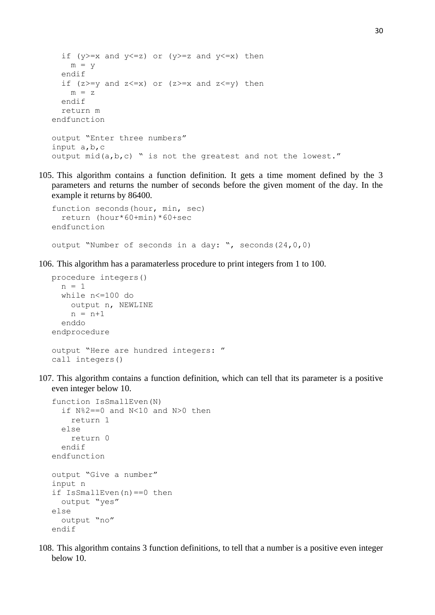```
if (y>=x and y<=z) or (y>=z and y<=x) then
    m = v endif
  if (z \ge y and z \le x) or (z \ge x and z \le y) then
    m = z endif
   return m
endfunction
output "Enter three numbers"
input a,b,c
output mid(a,b,c) " is not the greatest and not the lowest."
```
105. This algorithm contains a function definition. It gets a time moment defined by the 3 parameters and returns the number of seconds before the given moment of the day. In the example it returns by 86400.

```
function seconds(hour, min, sec)
   return (hour*60+min)*60+sec
endfunction
output "Number of seconds in a day: ", seconds(24,0,0)
```
106. This algorithm has a paramaterless procedure to print integers from 1 to 100.

```
procedure integers()
   n = 1
   while n<=100 do
     output n, NEWLINE
    n = n+1 enddo
endprocedure
output "Here are hundred integers: "
call integers()
```
107. This algorithm contains a function definition, which can tell that its parameter is a positive even integer below 10.

```
function IsSmallEven(N)
   if N%2==0 and N<10 and N>0 then
     return 1
   else
     return 0
   endif
endfunction
output "Give a number"
input n
if IsSmallEven(n)==0 then
   output "yes"
else
   output "no"
endif
```
108. This algorithm contains 3 function definitions, to tell that a number is a positive even integer below 10.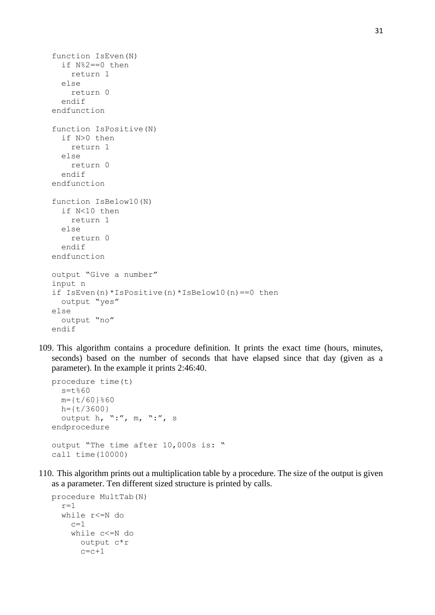```
function IsEven(N)
   if N%2==0 then
     return 1
   else
     return 0
   endif
endfunction
function IsPositive(N)
   if N>0 then
     return 1
   else
     return 0
   endif
endfunction
function IsBelow10(N)
   if N<10 then
    return 1
   else
     return 0
   endif
endfunction
output "Give a number"
input n
if IsEven(n)*IsPositive(n)*IsBelow10(n)==0 then
   output "yes"
else
   output "no"
endif
```
109. This algorithm contains a procedure definition. It prints the exact time (hours, minutes, seconds) based on the number of seconds that have elapsed since that day (given as a parameter). In the example it prints 2:46:40.

```
procedure time(t)
  s=t%60
 m={t/60}%60
 h = \{t/3600\} output h, ":", m, ":", s
endprocedure
output "The time after 10,000s is: "
call time(10000)
```
110. This algorithm prints out a multiplication table by a procedure. The size of the output is given as a parameter. Ten different sized structure is printed by calls.

```
procedure MultTab(N)
  r=1 while r<=N do
    c=1 while c<=N do
      output c*r
      c=c+1
```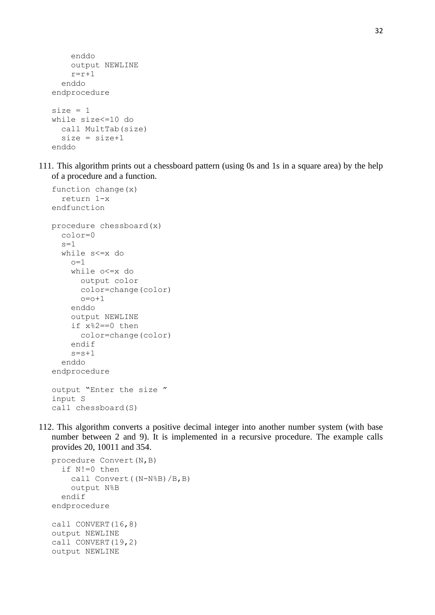```
 enddo
     output NEWLINE
    r=r+1 enddo
endprocedure
size = 1while size<=10 do
   call MultTab(size)
  size = size + 1enddo
```
111. This algorithm prints out a chessboard pattern (using 0s and 1s in a square area) by the help of a procedure and a function.

```
function change(x)
   return 1-x
endfunction
procedure chessboard(x)
   color=0
  s=1 while s<=x do
    \cap=1
     while o<=x do
       output color
       color=change(color)
       o=o+1
     enddo
     output NEWLINE
     if x%2==0 then
       color=change(color)
     endif
    s = s + 1 enddo
endprocedure
output "Enter the size "
input S
call chessboard(S)
```
112. This algorithm converts a positive decimal integer into another number system (with base number between 2 and 9). It is implemented in a recursive procedure. The example calls provides 20, 10011 and 354.

```
procedure Convert(N,B)
   if N!=0 then
     call Convert((N-N%B)/B,B)
     output N%B
   endif
endprocedure
call CONVERT(16,8)
output NEWLINE
call CONVERT(19,2)
output NEWLINE
```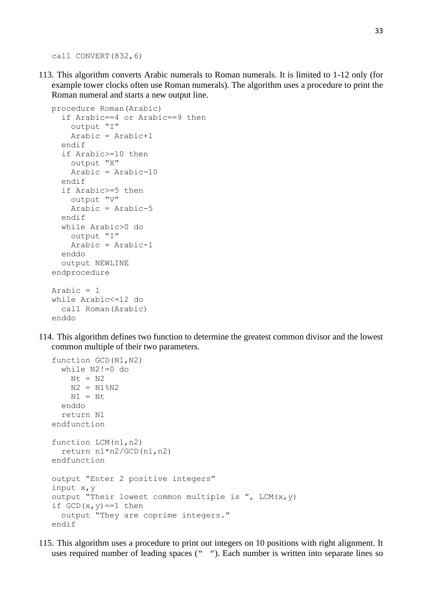call CONVERT(832,6)

113. This algorithm converts Arabic numerals to Roman numerals. It is limited to 1-12 only (for example tower clocks often use Roman numerals). The algorithm uses a procedure to print the Roman numeral and starts a new output line.

```
procedure Roman(Arabic)
   if Arabic==4 or Arabic==9 then
     output "I"
     Arabic = Arabic+1
   endif
   if Arabic>=10 then
     output "X"
    Arabic = Arabic-10 endif
   if Arabic>=5 then
     output "V"
     Arabic = Arabic-5
   endif
   while Arabic>0 do
     output "I"
     Arabic = Arabic-1
   enddo
   output NEWLINE
endprocedure
Arabic = 1while Arabic<=12 do
   call Roman(Arabic)
enddo
```
114. This algorithm defines two function to determine the greatest common divisor and the lowest common multiple of their two parameters.

```
function GCD(N1,N2)
   while N2!=0 do
   Nt = N2 N2 = N1%N2
   N1 = Nt enddo
   return N1
endfunction
function LCM(n1,n2)
   return n1*n2/GCD(n1,n2)
endfunction
output "Enter 2 positive integers"
input x,y
output "Their lowest common multiple is ", LCM(x, y)if GCD(x, y) == 1 then
   output "They are coprime integers."
endif
```
115. This algorithm uses a procedure to print out integers on 10 positions with right alignment. It uses required number of leading spaces (" "). Each number is written into separate lines so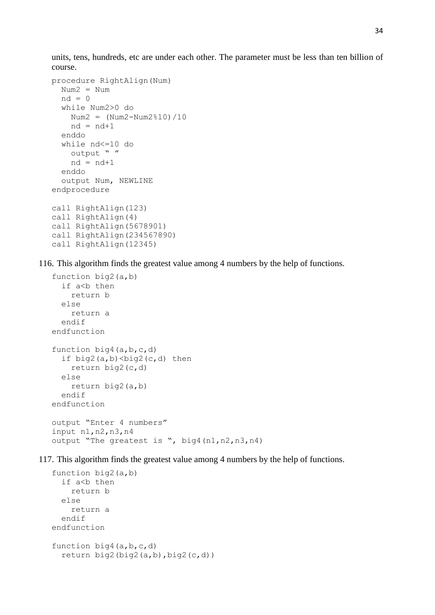units, tens, hundreds, etc are under each other. The parameter must be less than ten billion of course.

```
procedure RightAlign(Num)
   Num2 = Num
  nd = 0 while Num2>0 do
   Num2 = (Num2-Num2<sup>8</sup>10)/10nd = nd+1 enddo
   while nd<=10 do
    output " "
    nd = nd+1 enddo
   output Num, NEWLINE
endprocedure
call RightAlign(123)
call RightAlign(4)
call RightAlign(5678901)
call RightAlign(234567890)
call RightAlign(12345)
```
116. This algorithm finds the greatest value among 4 numbers by the help of functions.

```
function big2(a,b)
  if a<b then
     return b
   else
     return a
   endif
endfunction
function big4(a,b,c,d)
  if big2(a,b)\leq biq2(c,d) then
     return big2(c,d)
   else
     return big2(a,b)
   endif
endfunction
output "Enter 4 numbers"
input n1,n2,n3,n4
output "The greatest is ", big4(n1,n2,n3,n4)
```
117. This algorithm finds the greatest value among 4 numbers by the help of functions.

```
function big2(a,b)
  if a<b then
     return b
   else
     return a
   endif
endfunction
function big4(a,b,c,d)
  return big2(biq2(a,b),biq2(c,d))
```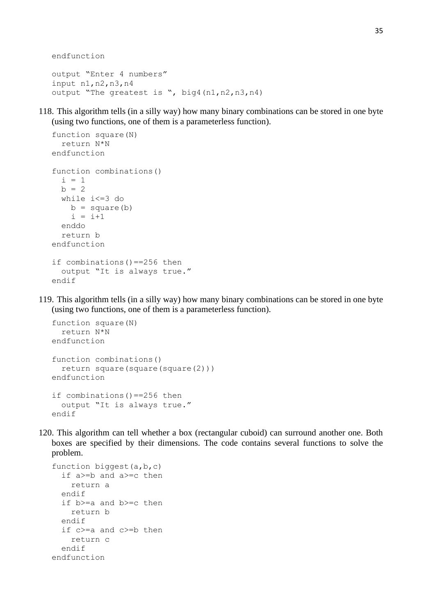endfunction

```
output "Enter 4 numbers"
input n1,n2,n3,n4
output "The greatest is ", big4(n1,n2,n3,n4)
```
118. This algorithm tells (in a silly way) how many binary combinations can be stored in one byte (using two functions, one of them is a parameterless function).

```
function square(N)
   return N*N
endfunction
function combinations()
  i = 1b = 2 while i<=3 do
   b = square(b)i = i+1 enddo
   return b
endfunction
if combinations()==256 then
   output "It is always true."
endif
```
119. This algorithm tells (in a silly way) how many binary combinations can be stored in one byte (using two functions, one of them is a parameterless function).

```
function square(N)
   return N*N
endfunction
function combinations()
   return square(square(square(2)))
endfunction
if combinations()==256 then
   output "It is always true."
endif
```
120. This algorithm can tell whether a box (rectangular cuboid) can surround another one. Both boxes are specified by their dimensions. The code contains several functions to solve the problem.

```
function biggest(a,b,c)
   if a>=b and a>=c then
     return a
   endif
   if b>=a and b>=c then
     return b
   endif
   if c>=a and c>=b then
     return c
   endif
endfunction
```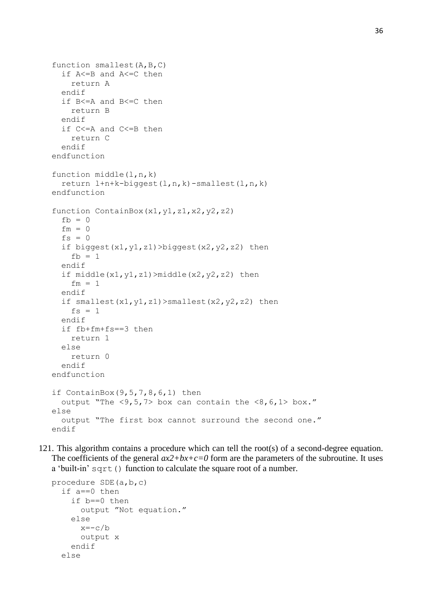```
function smallest(A,B,C)
   if A<=B and A<=C then
     return A
   endif
   if B<=A and B<=C then
     return B
   endif
   if C<=A and C<=B then
     return C
   endif
endfunction
function middle(l,n,k)
   return l+n+k-biggest(l,n,k)-smallest(l,n,k)
endfunction
function ContainBox(x1,y1,z1,x2,y2,z2)
  fb = 0fm = 0fs = 0if biggest(x1,y1,z1)>biggest(x2,y2,z2) then
    fh = 1 endif
  if middle(x1, y1, z1) >middle(x2, y2, z2) then
    fm = 1 endif
  if smallest(x1,y1,z1)>smallest(x2,y2,z2) then
    fs = 1 endif
   if fb+fm+fs==3 then
     return 1
   else
     return 0
   endif
endfunction
if ContainBox(9, 5, 7, 8, 6, 1) then
  output "The \langle 9, 5, 7 \rangle box can contain the \langle 8, 6, 1 \rangle box."
else
   output "The first box cannot surround the second one."
endif
```
121. This algorithm contains a procedure which can tell the root(s) of a second-degree equation. The coefficients of the general  $ax2+bx+c=0$  form are the parameters of the subroutine. It uses a 'built-in' sqrt() function to calculate the square root of a number.

```
procedure SDE(a,b,c)
   if a==0 then
     if b==0 then
       output "Not equation."
     else
      x=-c/b output x
     endif
   else
```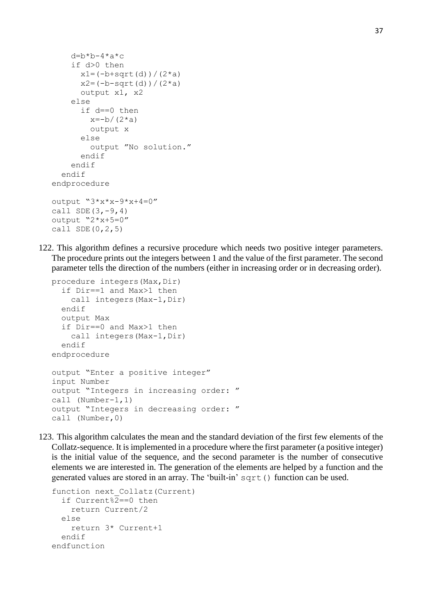```
d=b*b-4*a*c if d>0 then
      x1 = (-b + sqrt(d)) / (2*a)x2 = (-b-sqrt(d)) / (2*a) output x1, x2
     else
       if d==0 then
        x=-b/(2*a) output x
       else
         output "No solution."
       endif
     endif
   endif
endprocedure
output "3*x*x-9*x+4=0"call SDE(3,-9,4)output "2*x+5=0"
call SDE(0, 2, 5)
```
122. This algorithm defines a recursive procedure which needs two positive integer parameters. The procedure prints out the integers between 1 and the value of the first parameter. The second parameter tells the direction of the numbers (either in increasing order or in decreasing order).

```
procedure integers (Max, Dir)
   if Dir==1 and Max>1 then
    call integers (Max-1, Dir)
   endif
   output Max
   if Dir==0 and Max>1 then
    call integers (Max-1, Dir)
   endif
endprocedure
output "Enter a positive integer"
input Number
output "Integers in increasing order: "
call (Number-1,1)
output "Integers in decreasing order: "
call (Number,0)
```
123. This algorithm calculates the mean and the standard deviation of the first few elements of the Collatz-sequence. It is implemented in a procedure where the first parameter (a positive integer) is the initial value of the sequence, and the second parameter is the number of consecutive elements we are interested in. The generation of the elements are helped by a function and the generated values are stored in an array. The 'built-in' sqrt() function can be used.

```
function next_Collatz(Current)
   if Current%2==0 then
     return Current/2
   else
     return 3* Current+1
   endif
endfunction
```